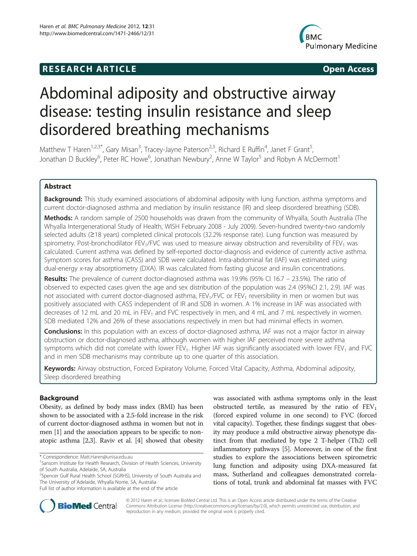# **RESEARCH ARTICLE Example 2014 CONSIDERING CONSIDERING CONSIDERING CONSIDERING CONSIDERING CONSIDERING CONSIDERING CONSIDERING CONSIDERING CONSIDERING CONSIDERING CONSIDERING CONSIDERING CONSIDERING CONSIDERING CONSIDE**



# Abdominal adiposity and obstructive airway disease: testing insulin resistance and sleep disordered breathing mechanisms

Matthew T Haren<sup>1,2,3\*</sup>, Gary Misan<sup>3</sup>, Tracey-Jayne Paterson<sup>2,3</sup>, Richard E Ruffin<sup>4</sup>, Janet F Grant<sup>5</sup> , Jonathan D Buckley<sup>6</sup>, Peter RC Howe<sup>6</sup>, Jonathan Newbury<sup>2</sup>, Anne W Taylor<sup>5</sup> and Robyn A McDermott<sup>1</sup>

# Abstract

Background: This study examined associations of abdominal adiposity with lung function, asthma symptoms and current doctor-diagnosed asthma and mediation by insulin resistance (IR) and sleep disordered breathing (SDB).

Methods: A random sample of 2500 households was drawn from the community of Whyalla, South Australia (The Whyalla Intergenerational Study of Health, WISH February 2008 - July 2009). Seven-hundred twenty-two randomly selected adults (≥18 years) completed clinical protocols (32.2% response rate). Lung function was measured by spirometry. Post-bronchodilator FEV<sub>1</sub>/FVC was used to measure airway obstruction and reversibility of FEV<sub>1</sub> was calculated. Current asthma was defined by self-reported doctor-diagnosis and evidence of currently active asthma. Symptom scores for asthma (CASS) and SDB were calculated. Intra-abdominal fat (IAF) was estimated using dual-energy x-ray absorptiometry (DXA). IR was calculated from fasting glucose and insulin concentrations.

Results: The prevalence of current doctor-diagnosed asthma was 19.9% (95% CI 16.7 – 23.5%). The ratio of observed to expected cases given the age and sex distribution of the population was 2.4 (95%CI 2.1, 2.9). IAF was not associated with current doctor-diagnosed asthma, FEV<sub>1</sub>/FVC or FEV<sub>1</sub> reversibility in men or women but was positively associated with CASS independent of IR and SDB in women. A 1% increase in IAF was associated with decreases of 12 mL and 20 mL in FEV<sub>1</sub> and FVC respectively in men, and 4 mL and 7 mL respectively in women. SDB mediated 12% and 26% of these associations respectively in men but had minimal effects in women.

**Conclusions:** In this population with an excess of doctor-diagnosed asthma, IAF was not a major factor in airway obstruction or doctor-diagnosed asthma, although women with higher IAF perceived more severe asthma symptoms which did not correlate with lower FEV<sub>1</sub>. Higher IAF was significantly associated with lower FEV<sub>1</sub> and FVC and in men SDB mechanisms may contribute up to one quarter of this association.

Keywords: Airway obstruction, Forced Expiratory Volume, Forced Vital Capacity, Asthma, Abdominal adiposity, Sleep disordered breathing

# Background

Obesity, as defined by body mass index (BMI) has been shown to be associated with a 2.5-fold increase in the risk of current doctor-diagnosed asthma in women but not in men [\[1](#page-9-0)] and the association appears to be specific to nonatopic asthma [\[2,3](#page-9-0)]. Raviv et al. [\[4\]](#page-9-0) showed that obesity was associated with asthma symptoms only in the least obstructed tertile, as measured by the ratio of  $FEV<sub>1</sub>$ (forced expired volume in one second) to FVC (forced vital capacity). Together, these findings suggest that obesity may produce a mild obstructive airway phenotype distinct from that mediated by type 2 T-helper (Th2) cell inflammatory pathways [\[5](#page-9-0)]. Moreover, in one of the first studies to explore the associations between spirometric lung function and adiposity using DXA-measured fat mass, Sutherland and colleagues demonstrated correlations of total, trunk and abdominal fat masses with FVC



© 2012 Haren et al.; licensee BioMed Central Ltd. This is an Open Access article distributed under the terms of the Creative Commons Attribution License [\(http://creativecommons.org/licenses/by/2.0\)](http://creativecommons.org/licenses/by/2.0), which permits unrestricted use, distribution, and reproduction in any medium, provided the original work is properly cited.

<sup>\*</sup> Correspondence: [Matt.Haren@unisa.edu.au](mailto:Matt.Haren@unisa.edu.au) <sup>1</sup>

<sup>&</sup>lt;sup>1</sup> Sansom Institute for Health Research, Division of Health Sciences, University of South Australia, Adelaide, SA, Australia

<sup>&</sup>lt;sup>2</sup>Spencer Gulf Rural Health School (SGRHS), University of South Australia and The University of Adelaide, Whyalla Norrie, SA, Australia

Full list of author information is available at the end of the article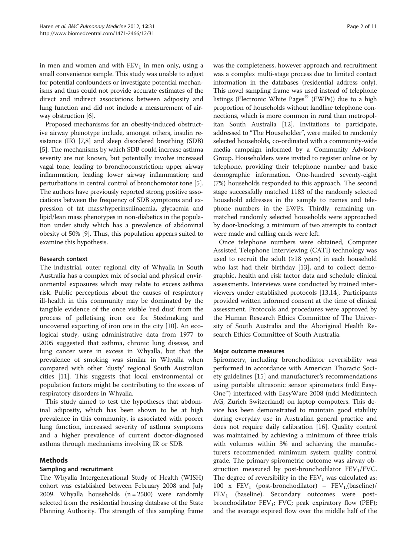in men and women and with  $FEV<sub>1</sub>$  in men only, using a small convenience sample. This study was unable to adjust for potential confounders or investigate potential mechanisms and thus could not provide accurate estimates of the direct and indirect associations between adiposity and lung function and did not include a measurement of airway obstruction [\[6](#page-9-0)].

Proposed mechanisms for an obesity-induced obstructive airway phenotype include, amongst others, insulin resistance (IR) [\[7,8\]](#page-9-0) and sleep disordered breathing (SDB) [[5\]](#page-9-0). The mechanisms by which SDB could increase asthma severity are not known, but potentially involve increased vagal tone, leading to bronchoconstriction; upper airway inflammation, leading lower airway inflammation; and perturbations in central control of bronchomotor tone [[5](#page-9-0)]. The authors have previously reported strong positive associations between the frequency of SDB symptoms and expression of fat mass/hyperinsulinaemia, glycaemia and lipid/lean mass phenotypes in non-diabetics in the population under study which has a prevalence of abdominal obesity of 50% [\[9](#page-9-0)]. Thus, this population appears suited to examine this hypothesis.

#### Research context

The industrial, outer regional city of Whyalla in South Australia has a complex mix of social and physical environmental exposures which may relate to excess asthma risk. Public perceptions about the causes of respiratory ill-health in this community may be dominated by the tangible evidence of the once visible 'red dust' from the process of pelletising iron ore for Steelmaking and uncovered exporting of iron ore in the city [\[10](#page-9-0)]. An ecological study, using administrative data from 1977 to 2005 suggested that asthma, chronic lung disease, and lung cancer were in excess in Whyalla, but that the prevalence of smoking was similar in Whyalla when compared with other 'dusty' regional South Australian cities [\[11](#page-9-0)]. This suggests that local environmental or population factors might be contributing to the excess of respiratory disorders in Whyalla.

This study aimed to test the hypotheses that abdominal adiposity, which has been shown to be at high prevalence in this community, is associated with poorer lung function, increased severity of asthma symptoms and a higher prevalence of current doctor-diagnosed asthma through mechanisms involving IR or SDB.

# Methods

#### Sampling and recruitment

The Whyalla Intergenerational Study of Health (WISH) cohort was established between February 2008 and July 2009. Whyalla households  $(n = 2500)$  were randomly selected from the residential housing database of the State Planning Authority. The strength of this sampling frame was the completeness, however approach and recruitment was a complex multi-stage process due to limited contact information in the databases (residential address only). This novel sampling frame was used instead of telephone listings (Electronic White Pages<sup>®</sup> (EWPs)) due to a high proportion of households without landline telephone connections, which is more common in rural than metropolitan South Australia [[12](#page-9-0)]. Invitations to participate, addressed to "The Householder", were mailed to randomly selected households, co-ordinated with a community-wide media campaign informed by a Community Advisory Group. Householders were invited to register online or by telephone, providing their telephone number and basic demographic information. One-hundred seventy-eight (7%) households responded to this approach. The second stage successfully matched 1183 of the randomly selected household addresses in the sample to names and telephone numbers in the EWPs. Thirdly, remaining unmatched randomly selected households were approached by door-knocking; a minimum of two attempts to contact were made and calling cards were left.

Once telephone numbers were obtained, Computer Assisted Telephone Interviewing (CATI) technology was used to recruit the adult  $(\geq 18$  years) in each household who last had their birthday [\[13](#page-9-0)], and to collect demographic, health and risk factor data and schedule clinical assessments. Interviews were conducted by trained interviewers under established protocols [\[13,14](#page-9-0)]. Participants provided written informed consent at the time of clinical assessment. Protocols and procedures were approved by the Human Research Ethics Committee of The University of South Australia and the Aboriginal Health Research Ethics Committee of South Australia.

#### Major outcome measures

Spirometry, including bronchodilator reversibility was performed in accordance with American Thoracic Society guidelines [\[15\]](#page-10-0) and manufacturer's recommendations using portable ultrasonic sensor spirometers (ndd Easy-One™) interfaced with EasyWare 2008 (ndd Medizintech AG, Zurich Switzerland) on laptop computers. This device has been demonstrated to maintain good stability during everyday use in Australian general practice and does not require daily calibration [[16\]](#page-10-0). Quality control was maintained by achieving a minimum of three trials with volumes within 3% and achieving the manufacturers recommended minimum system quality control grade. The primary spirometric outcome was airway obstruction measured by post-bronchodilator  $FEV<sub>1</sub>/FVC$ . The degree of reversibility in the  $FEV<sub>1</sub>$  was calculated as: 100 x  $FEV_1$  (post-bronchodilator) –  $FEV_1$ (baseline)/  $FEV<sub>1</sub>$  (baseline). Secondary outcomes were postbronchodilator  $FEV_1$ ; FVC; peak expiratory flow (PEF); and the average expired flow over the middle half of the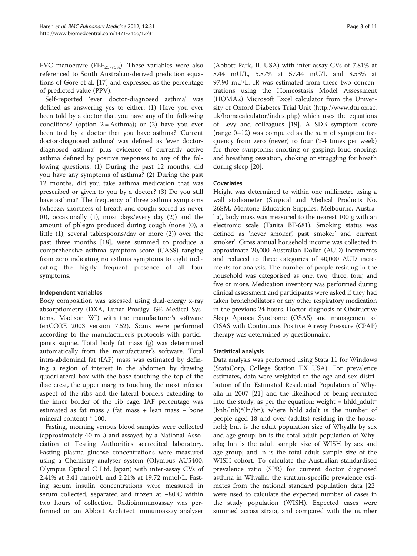FVC manoeuvre (FEF<sub>25-75%</sub>). These variables were also referenced to South Australian-derived prediction equations of Gore et al. [\[17](#page-10-0)] and expressed as the percentage of predicted value (PPV).

Self-reported 'ever doctor-diagnosed asthma' was defined as answering yes to either: (1) Have you ever been told by a doctor that you have any of the following conditions? (option  $2 =$  Asthma); or (2) have you ever been told by a doctor that you have asthma? 'Current doctor-diagnosed asthma' was defined as 'ever doctordiagnosed asthma' plus evidence of currently active asthma defined by positive responses to any of the following questions: (1) During the past 12 months, did you have any symptoms of asthma? (2) During the past 12 months, did you take asthma medication that was prescribed or given to you by a doctor? (3) Do you still have asthma? The frequency of three asthma symptoms (wheeze, shortness of breath and cough; scored as never (0), occasionally (1), most days/every day (2)) and the amount of phlegm produced during cough (none (0), a little (1), several tablespoons/day or more (2)) over the past three months [[18\]](#page-10-0), were summed to produce a comprehensive asthma symptom score (CASS) ranging from zero indicating no asthma symptoms to eight indicating the highly frequent presence of all four symptoms.

#### Independent variables

Body composition was assessed using dual-energy x-ray absorptiometry (DXA, Lunar Prodigy, GE Medical Systems, Madison WI) with the manufacturer's software (enCORE 2003 version 7.52). Scans were performed according to the manufacturer's protocols with participants supine. Total body fat mass (g) was determined automatically from the manufacturer's software. Total intra-abdominal fat (IAF) mass was estimated by defining a region of interest in the abdomen by drawing quadrilateral box with the base touching the top of the iliac crest, the upper margins touching the most inferior aspect of the ribs and the lateral borders extending to the inner border of the rib cage. IAF percentage was estimated as fat mass / (fat mass + lean mass + bone mineral content) \* 100.

Fasting, morning venous blood samples were collected (approximately 40 mL) and assayed by a National Association of Testing Authorities accredited laboratory. Fasting plasma glucose concentrations were measured using a Chemistry analyser system (Olympus AU5400, Olympus Optical C Ltd, Japan) with inter-assay CVs of 2.41% at 3.41 mmol/L and 2.21% at 19.72 mmol/L. Fasting serum insulin concentrations were measured in serum collected, separated and frozen at −80°C within two hours of collection. Radioimmunoassay was performed on an Abbott Architect immunoassay analyser

(Abbott Park, IL USA) with inter-assay CVs of 7.81% at 8.44 mU/L, 5.87% at 57.44 mU/L and 8.53% at 97.90 mU/L. IR was estimated from these two concentrations using the Homeostasis Model Assessment (HOMA2) Microsoft Excel calculator from the University of Oxford Diabetes Trial Unit ([http://www.dtu.ox.ac.](http://www.dtu.ox.ac.uk/homacalculator/index.php) [uk/homacalculator/index.php](http://www.dtu.ox.ac.uk/homacalculator/index.php)) which uses the equations of Levy and colleagues [\[19](#page-10-0)]. A SDB symptom score (range 0–12) was computed as the sum of symptom frequency from zero (never) to four (>4 times per week) for three symptoms: snorting or gasping; loud snoring; and breathing cessation, choking or struggling for breath during sleep [\[20\]](#page-10-0).

# Covariates

Height was determined to within one millimetre using a wall stadiometer (Surgical and Medical Products No. 26SM, Mentone Education Supplies, Melbourne, Australia), body mass was measured to the nearest 100 g with an electronic scale (Tanita BF-681). Smoking status was defined as 'never smoker', 'past smoker' and 'current smoker'. Gross annual household income was collected in approximate 20,000 Australian Dollar (AUD) increments and reduced to three categories of 40,000 AUD increments for analysis. The number of people residing in the household was categorised as one, two, three, four, and five or more. Medication inventory was performed during clinical assessment and participants were asked if they had taken bronchodilators or any other respiratory medication in the previous 24 hours. Doctor-diagnosis of Obstructive Sleep Apnoea Syndrome (OSAS) and management of OSAS with Continuous Positive Airway Pressure (CPAP) therapy was determined by questionnaire.

#### Statistical analysis

Data analysis was performed using Stata 11 for Windows (StataCorp, College Station TX USA). For prevalence estimates, data were weighted to the age and sex distribution of the Estimated Residential Population of Whyalla in 2007 [[21\]](#page-10-0) and the likelihood of being recruited into the study, as per the equation: weight  $=$  hhld\_adult\* (bnh/lnh)\*(ln/bn); where hhld\_adult is the number of people aged 18 and over (adults) residing in the household; bnh is the adult population size of Whyalla by sex and age-group; bn is the total adult population of Whyalla; lnh is the adult sample size of WISH by sex and age-group; and ln is the total adult sample size of the WISH cohort. To calculate the Australian standardised prevalence ratio (SPR) for current doctor diagnosed asthma in Whyalla, the stratum-specific prevalence estimates from the national standard population data [[22](#page-10-0)] were used to calculate the expected number of cases in the study population (WISH). Expected cases were summed across strata, and compared with the number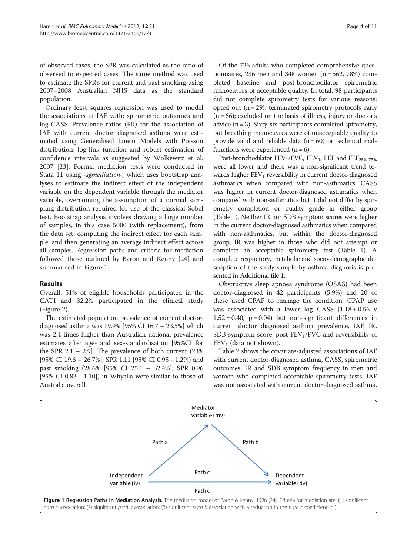of observed cases, the SPR was calculated as the ratio of observed to expected cases. The same method was used to estimate the SPR's for current and past smoking using 2007–2008 Australian NHS data as the standard population.

Ordinary least squares regression was used to model the associations of IAF with: spirometric outcomes and log-CASS. Prevalence ratios (PR) for the association of IAF with current doctor diagnosed asthma were estimated using Generalised Linear Models with Poisson distribution, log-link function and robust estimation of confidence intervals as suggested by Wolkewitz et al. 2007 [[23\]](#page-10-0). Formal mediation tests were conducted in Stata 11 using -sgmediation-, which uses bootstrap analyses to estimate the indirect effect of the independent variable on the dependent variable through the mediator variable, overcoming the assumption of a normal sampling distribution required for use of the classical Sobel test. Bootstrap analysis involves drawing a large number of samples, in this case 5000 (with replacement), from the data set, computing the indirect effect for each sample, and then generating an average indirect effect across all samples. Regression paths and criteria for mediation followed those outlined by Baron and Kenny [[24\]](#page-10-0) and summarised in Figure 1.

# Results

Overall, 51% of eligible households participated in the CATI and 32.2% participated in the clinical study (Figure 2).

The estimated population prevalence of current doctordiagnosed asthma was 19.9% [95% CI 16.7 – 23.5%] which was 2.4 times higher than Australian national prevalence estimates after age- and sex-standardisation [95%CI for the SPR  $2.1 - 2.9$ . The prevalence of both current  $(23\%$ [95% CI 19.6 – 26.7%]; SPR 1.11 [95% CI 0.95 - 1.29]) and past smoking (28.6% [95% CI 25.1 – 32.4%]; SPR 0.96 [95% CI 0.83 - 1.10]) in Whyalla were similar to those of Australia overall.

Of the 726 adults who completed comprehensive questionnaires, 236 men and 348 women  $(n = 562, 78%)$  completed baseline and post-bronchodilator spirometric manoeuvres of acceptable quality. In total, 98 participants did not complete spirometry tests for various reasons: opted out  $(n = 29)$ ; terminated spirometry protocols early  $(n = 66)$ ; excluded on the basis of illness, injury or doctor's advice  $(n = 3)$ . Sixty-six participants completed spirometry, but breathing manoeuvres were of unacceptable quality to provide valid and reliable data  $(n = 60)$  or technical malfunctions were experienced  $(n = 6)$ .

Post-bronchodilator  $FEV_1/FVC$ ,  $FEV_1$ ,  $PEF$  and  $FEF_{25\%-75\%}$ were all lower and there was a non-significant trend towards higher  $FEV<sub>1</sub>$  reversibility in current doctor-diagnosed asthmatics when compared with non-asthmatics. CASS was higher in current doctor-diagnosed asthmatics when compared with non-asthmatics but it did not differ by spirometry completion or quality grade in either group (Table [1\)](#page-5-0). Neither IR nor SDB symptom scores were higher in the current doctor-diagnosed asthmatics when compared with non-asthmatics, but within the doctor-diagnosed group, IR was higher in those who did not attempt or complete an acceptable spirometry test (Table [1](#page-5-0)). A complete respiratory, metabolic and socio-demographic description of the study sample by asthma diagnosis is presented in Additional file [1.](#page-9-0)

Obstructive sleep apnoea syndrome (OSAS) had been doctor-diagnosed in 42 participants (5.9%) and 20 of these used CPAP to manage the condition. CPAP use was associated with a lower log CASS  $(1.18 \pm 0.56 \text{ v})$  $1.52 \pm 0.40$ ,  $p = 0.04$ ) but non-significant differences in current doctor diagnosed asthma prevalence, IAF, IR, SDB symptom score, post  $FEV<sub>1</sub>/FVC$  and reversibility of  $FEV<sub>1</sub>$  (data not shown).

Table [2](#page-6-0) shows the covariate-adjusted associations of IAF with current doctor-diagnosed asthma, CASS, spirometric outcomes, IR and SDB symptom frequency in men and women who completed acceptable spirometry tests. IAF was not associated with current doctor-diagnosed asthma,

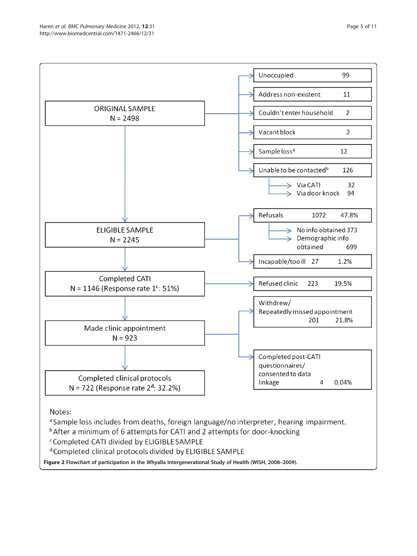

Figure 2 Flowchart of participation in the Whyalla Intergenerational Study of Health (WISH, 2008–2009).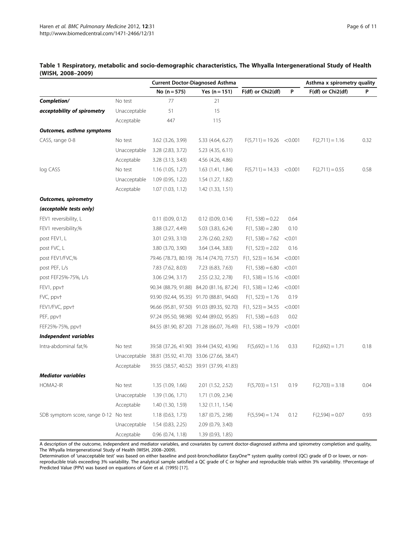|                                       |              | <b>Current Doctor-Diagnosed Asthma</b>                 |                                           |                     | Asthma x spirometry quality |                   |      |
|---------------------------------------|--------------|--------------------------------------------------------|-------------------------------------------|---------------------|-----------------------------|-------------------|------|
|                                       |              | No $(n = 575)$                                         | Yes $(n = 151)$                           | F(df) or Chi2(df)   | P                           | F(df) or Chi2(df) | P    |
| Completion/                           | No test      | 77                                                     | 21                                        |                     |                             |                   |      |
| acceptability of spirometry           | Unacceptable | 51                                                     | 15                                        |                     |                             |                   |      |
|                                       | Acceptable   | 447                                                    | 115                                       |                     |                             |                   |      |
| Outcomes, asthma symptoms             |              |                                                        |                                           |                     |                             |                   |      |
| CASS, range 0-8                       | No test      | 3.62 (3.26, 3.99)                                      | 5.33 (4.64, 6.27)                         | $F(5,711) = 19.26$  | < 0.001                     | $F(2,711) = 1.16$ | 0.32 |
|                                       | Unacceptable | 3.28 (2.83, 3.72)                                      | 5.23 (4.35, 6.11)                         |                     |                             |                   |      |
|                                       | Acceptable   | 3.28 (3.13, 3.43)                                      | 4.56 (4.26, 4.86)                         |                     |                             |                   |      |
| log CASS                              | No test      | 1.16(1.05, 1.27)                                       | 1.63 (1.41, 1.84)                         | $F(5,711) = 14.33$  | < 0.001                     | $F(2,711) = 0.55$ | 0.58 |
|                                       | Unacceptable | 1.09 (0.95, 1.22)                                      | 1.54 (1.27, 1.82)                         |                     |                             |                   |      |
|                                       | Acceptable   | 1.07(1.03, 1.12)                                       | 1.42 (1.33, 1.51)                         |                     |                             |                   |      |
| <b>Outcomes, spirometry</b>           |              |                                                        |                                           |                     |                             |                   |      |
| (acceptable tests only)               |              |                                                        |                                           |                     |                             |                   |      |
| FEV1 reversibility, L                 |              | $0.11$ $(0.09, 0.12)$                                  | $0.12$ (0.09, 0.14)                       | $F(1, 538) = 0.22$  | 0.64                        |                   |      |
| FEV1 reversibility,%                  |              | 3.88 (3.27, 4.49)                                      | 5.03 (3.83, 6.24)                         | $F(1, 538) = 2.80$  | 0.10                        |                   |      |
| post FEV1, L                          |              | 3.01 (2.93, 3.10)                                      | 2.76 (2.60, 2.92)                         | $F(1, 538) = 7.62$  | < 0.01                      |                   |      |
| post FVC, L                           |              | 3.80 (3.70, 3.90)                                      | 3.64 (3.44, 3.83)                         | $F(1, 523) = 2.02$  | 0.16                        |                   |      |
| post FEV1/FVC,%                       |              |                                                        | 79.46 (78.73, 80.19) 76.14 (74.70, 77.57) | $F(1, 523) = 16.34$ | < 0.001                     |                   |      |
| post PEF, L/s                         |              | 7.83 (7.62, 8.03)                                      | 7.23 (6.83, 7.63)                         | $F(1, 538) = 6.80$  | < 0.01                      |                   |      |
| post FEF25%-75%, L/s                  |              | 3.06 (2.94, 3.17)                                      | 2.55 (2.32, 2.78)                         | $F(1, 538) = 15.16$ | < 0.001                     |                   |      |
| FEV1, ppvt                            |              |                                                        | 90.34 (88.79, 91.88) 84.20 (81.16, 87.24) | $F(1, 538) = 12.46$ | < 0.001                     |                   |      |
| FVC, ppvt                             |              |                                                        | 93.90 (92.44, 95.35) 91.70 (88.81, 94.60) | $F(1, 523) = 1.76$  | 0.19                        |                   |      |
| FEV1/FVC, ppvt                        |              |                                                        | 96.66 (95.81, 97.50) 91.03 (89.35, 92.70) | $F(1, 523) = 34.55$ | < 0.001                     |                   |      |
| PEF, ppvt                             |              |                                                        | 97.24 (95.50, 98.98) 92.44 (89.02, 95.85) | $F(1, 538) = 6.03$  | 0.02                        |                   |      |
| FEF25%-75%, ppv+                      |              |                                                        | 84.55 (81.90, 87.20) 71.28 (66.07, 76.49) | $F(1, 538) = 19.79$ | < 0.001                     |                   |      |
| Independent variables                 |              |                                                        |                                           |                     |                             |                   |      |
| Intra-abdominal fat,%                 | No test      |                                                        | 39.58 (37.26, 41.90) 39.44 (34.92, 43.96) | $F(5,692) = 1.16$   | 0.33                        | $F(2,692) = 1.71$ | 0.18 |
|                                       |              | Unacceptable 38.81 (35.92, 41.70) 33.06 (27.66, 38.47) |                                           |                     |                             |                   |      |
|                                       | Acceptable   |                                                        | 39.55 (38.57, 40.52) 39.91 (37.99, 41.83) |                     |                             |                   |      |
| <b>Mediator variables</b>             |              |                                                        |                                           |                     |                             |                   |      |
| HOMA2-IR                              | No test      | 1.35 (1.09, 1.66)                                      | 2.01 (1.52, 2.52)                         | $F(5,703) = 1.51$   | 0.19                        | $F(2,703) = 3.18$ | 0.04 |
|                                       | Unacceptable | 1.39 (1.06, 1.71)                                      | 1.71 (1.09, 2.34)                         |                     |                             |                   |      |
|                                       | Acceptable   | 1.40 (1.30, 1.59)                                      | 1.32 (1.11, 1.54)                         |                     |                             |                   |      |
| SDB symptom score, range 0-12 No test |              | 1.18(0.63, 1.73)                                       | 1.87 (0.75, 2.98)                         | $F(5,594) = 1.74$   | 0.12                        | $F(2,594) = 0.07$ | 0.93 |
|                                       | Unacceptable | 1.54(0.83, 2.25)                                       | 2.09 (0.79, 3.40)                         |                     |                             |                   |      |
|                                       | Acceptable   | $0.96$ $(0.74, 1.18)$                                  | 1.39 (0.93, 1.85)                         |                     |                             |                   |      |

# <span id="page-5-0"></span>Table 1 Respiratory, metabolic and socio-demographic characteristics, The Whyalla Intergenerational Study of Health (WISH, 2008–2009)

A description of the outcome, independent and mediator variables, and covariates by current doctor-diagnosed asthma and spirometry completion and quality, The Whyalla Intergenerational Study of Health (WISH, 2008–2009).

Determination of 'unacceptable test' was based on either baseline and post-bronchodilator EasyOne™ system quality control (QC) grade of D or lower, or nonreproducible trials exceeding 3% variability. The analytical sample satisfied a QC grade of C or higher and reproducible trials within 3% variability. †Percentage of Predicted Value (PPV) was based on equations of Gore et al. (1995) [[17](#page-10-0)].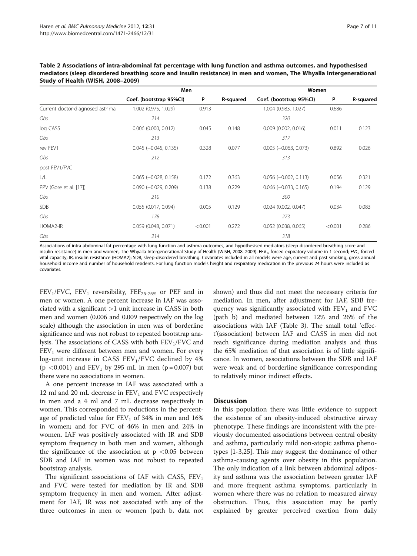|                                 | Men                            |         |           | Women                          |         |           |  |
|---------------------------------|--------------------------------|---------|-----------|--------------------------------|---------|-----------|--|
|                                 | Coef. (bootstrap 95%CI)        | P       | R-squared | Coef. (bootstrap 95%Cl)        | P       | R-squared |  |
| Current doctor-diagnosed asthma | 1.002 (0.975, 1.029)           | 0.913   |           | 1.004 (0.983, 1.027)           | 0.686   |           |  |
| Obs                             | 214                            |         |           | 320                            |         |           |  |
| log CASS                        | $0.006$ (0.000, 0.012)         | 0.045   | 0.148     | $0.009$ (0.002, 0.016)         | 0.011   | 0.123     |  |
| Obs                             | 213                            |         |           | 317                            |         |           |  |
| rev FEV1                        | $0.045 (-0.045, 0.135)$        | 0.328   | 0.077     | $0.005$ ( $-0.063$ , $0.073$ ) | 0.892   | 0.026     |  |
| Obs                             | 212                            |         |           | 313                            |         |           |  |
| post FEV1/FVC                   |                                |         |           |                                |         |           |  |
| L/L                             | $0.065$ ( $-0.028$ , $0.158$ ) | 0.172   | 0.363     | $0.056$ ( $-0.002$ , $0.113$ ) | 0.056   | 0.321     |  |
| PPV (Gore et al. [17])          | $0.090$ ( $-0.029$ , 0.209)    | 0.138   | 0.229     | $0.066$ ( $-0.033$ , 0.165)    | 0.194   | 0.129     |  |
| Obs                             | 210                            |         |           | 300                            |         |           |  |
| <b>SDB</b>                      | 0.055 (0.017, 0.094)           | 0.005   | 0.129     | $0.024$ (0.002, 0.047)         | 0.034   | 0.083     |  |
| Obs                             | 178                            |         |           | 273                            |         |           |  |
| HOMA2-IR                        | 0.059 (0.048, 0.071)           | < 0.001 | 0.272     | 0.052 (0.038, 0.065)           | < 0.001 | 0.286     |  |
| Obs                             | 214                            |         |           | 318                            |         |           |  |

<span id="page-6-0"></span>Table 2 Associations of intra-abdominal fat percentage with lung function and asthma outcomes, and hypothesised mediators (sleep disordered breathing score and insulin resistance) in men and women, The Whyalla Intergenerational Study of Health (WISH, 2008–2009)

Associations of intra-abdominal fat percentage with lung function and asthma outcomes, and hypothesised mediators (sleep disordered breathing score and insulin resistance) in men and women, The Whyalla Intergenerational Study of Health (WISH, 2008–2009). FEV<sub>1</sub>, forced expiratory volume in 1 second; FVC, forced vital capacity; IR, insulin resistance (HOMA2); SDB, sleep-disordered breathing. Covariates included in all models were age, current and past smoking, gross annual household income and number of household residents. For lung function models height and respiratory medication in the previous 24 hours were included as covariates.

 $FEV<sub>1</sub>/FVC$ ,  $FEV<sub>1</sub>$  reversibility,  $FEF<sub>25-75%</sub>$  or PEF and in men or women. A one percent increase in IAF was associated with a significant  $>1$  unit increase in CASS in both men and women (0.006 and 0.009 respectively on the log scale) although the association in men was of borderline significance and was not robust to repeated bootstrap analysis. The associations of CASS with both  $FEV<sub>1</sub>/FVC$  and FEV<sub>1</sub> were different between men and women. For every log-unit increase in CASS  $FEV<sub>1</sub>/FVC$  declined by 4% (p <0.001) and  $FEV_1$  by 295 mL in men (p = 0.007) but there were no associations in women.

A one percent increase in IAF was associated with a 12 ml and 20 mL decrease in  $FEV<sub>1</sub>$  and FVC respectively in men and a 4 ml and 7 mL decrease respectively in women. This corresponded to reductions in the percentage of predicted value for  $FEV<sub>1</sub>$  of 34% in men and 16% in women; and for FVC of 46% in men and 24% in women. IAF was positively associated with IR and SDB symptom frequency in both men and women, although the significance of the association at  $p < 0.05$  between SDB and IAF in women was not robust to repeated bootstrap analysis.

The significant associations of IAF with CASS,  $FEV<sub>1</sub>$ and FVC were tested for mediation by IR and SDB symptom frequency in men and women. After adjustment for IAF, IR was not associated with any of the three outcomes in men or women (path b, data not shown) and thus did not meet the necessary criteria for mediation. In men, after adjustment for IAF, SDB frequency was significantly associated with  $FEV<sub>1</sub>$  and  $FVC$ (path b) and mediated between 12% and 26% of the associations with IAF (Table [3\)](#page-7-0). The small total 'effect'(association) between IAF and CASS in men did not reach significance during mediation analysis and thus the 65% mediation of that association is of little significance. In women, associations between the SDB and IAF were weak and of borderline significance corresponding to relatively minor indirect effects.

#### **Discussion**

In this population there was little evidence to support the existence of an obesity-induced obstructive airway phenotype. These findings are inconsistent with the previously documented associations between central obesity and asthma, particularly mild non-atopic asthma phenotypes [\[1](#page-9-0)-[3,](#page-9-0)[25\]](#page-10-0). This may suggest the dominance of other asthma-causing agents over obesity in this population. The only indication of a link between abdominal adiposity and asthma was the association between greater IAF and more frequent asthma symptoms, particularly in women where there was no relation to measured airway obstruction. Thus, this association may be partly explained by greater perceived exertion from daily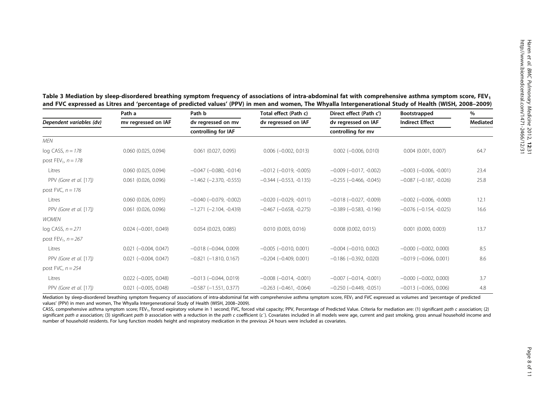|                          | Path a                   | Path b                           | Total effect (Path c)            | Direct effect (Path c')          | <b>Bootstrapped</b>              | %<br><b>Mediated</b> |  |
|--------------------------|--------------------------|----------------------------------|----------------------------------|----------------------------------|----------------------------------|----------------------|--|
| Dependent variables (dv) | mv regressed on IAF      | dv regressed on mv               | dv regressed on IAF              | dv regressed on IAF              | <b>Indirect Effect</b>           |                      |  |
|                          |                          | controlling for IAF              |                                  | controlling for mv               |                                  |                      |  |
| MEN                      |                          |                                  |                                  |                                  |                                  |                      |  |
| log CASS, $n = 178$      | $0.060$ $(0.025, 0.094)$ | $0.061$ (0.027, 0.095)           | $0.006$ ( $-0.002$ , $0.013$ )   | $0.002$ (-0.006, 0.010)          | $0.004$ $(0.001, 0.007)$         | 64.7                 |  |
| post $FEV_1$ , $n = 178$ |                          |                                  |                                  |                                  |                                  |                      |  |
| Litres                   | 0.060 (0.025, 0.094)     | $-0.047$ $(-0.080, -0.014)$      | $-0.012$ ( $-0.019$ , $-0.005$ ) | $-0.009$ $(-0.017, -0.002)$      | $-0.003$ $(-0.006, -0.001)$      | 23.4                 |  |
| PPV (Gore et al. [17])   | 0.061 (0.026, 0.096)     | $-1.462$ ( $-2.370$ , $-0.555$ ) | $-0.344$ $(-0.553, -0.135)$      | $-0.255$ $(-0.466, -0.045)$      | $-0.087$ ( $-0.187$ , $-0.026$ ) | 25.8                 |  |
| post FVC, $n = 176$      |                          |                                  |                                  |                                  |                                  |                      |  |
| Litres                   | 0.060 (0.026, 0.095)     | $-0.040$ $(-0.079, -0.002)$      | $-0.020$ $(-0.029, -0.011)$      | $-0.018$ $(-0.027, -0.009)$      | $-0.002$ ( $-0.006$ , $-0.000$ ) | 12.1                 |  |
| PPV (Gore et al. [17])   | 0.061 (0.026, 0.096)     | $-1.271$ $(-2.104, -0.439)$      | $-0.467$ ( $-0.658$ , $-0.275$ ) | $-0.389$ ( $-0.583$ , $-0.196$ ) | $-0.076$ ( $-0.154$ , $-0.025$ ) | 16.6                 |  |
| <b>WOMEN</b>             |                          |                                  |                                  |                                  |                                  |                      |  |
| log CASS, $n = 271$      | $0.024 (-0.001, 0.049)$  | $0.054$ (0.023, 0.085)           | 0.010(0.003, 0.016)              | $0.008$ $(0.002, 0.015)$         | $0.001$ $(0.000, 0.003)$         | 13.7                 |  |
| post $FEV_1$ , $n = 267$ |                          |                                  |                                  |                                  |                                  |                      |  |
| Litres                   | $0.021 (-0.004, 0.047)$  | $-0.018$ $(-0.044, 0.009)$       | $-0.005$ ( $-0.010$ , 0.001)     | $-0.004$ $(-0.010, 0.002)$       | $-0.000$ $(-0.002, 0.000)$       | 8.5                  |  |
| PPV (Gore et al. [17])   | $0.021 (-0.004, 0.047)$  | $-0.821$ $(-1.810, 0.167)$       | $-0.204 (-0.409, 0.001)$         | $-0.186$ $(-0.392, 0.020)$       | $-0.019$ $(-0.066, 0.001)$       | 8.6                  |  |
| post FVC, $n = 254$      |                          |                                  |                                  |                                  |                                  |                      |  |
| Litres                   | $0.022$ (-0.005, 0.048)  | $-0.013$ $(-0.044, 0.019)$       | $-0.008$ $(-0.014, -0.001)$      | $-0.007$ $(-0.014, -0.001)$      | $-0.000$ $(-0.002, 0.000)$       | 3.7                  |  |
| PPV (Gore et al. [17])   | $0.021 (-0.005, 0.048)$  | $-0.587$ $(-1.551, 0.377)$       | $-0.263$ $(-0.461, -0.064)$      | $-0.250$ $(-0.449, -0.051)$      | $-0.013$ $(-0.065, 0.006)$       | 4.8                  |  |

<span id="page-7-0"></span>

| Table 3 Mediation by sleep-disordered breathing symptom frequency of associations of intra-abdominal fat with comprehensive asthma symptom score, FEV $_{\rm 1}$ |  |
|------------------------------------------------------------------------------------------------------------------------------------------------------------------|--|
| and FVC expressed as Litres and 'percentage of predicted values' (PPV) in men and women, The Whyalla Intergenerational Study of Health (WISH, 2008–2009)         |  |

Mediation by sleep-disordered breathing symptom frequency of associations of intra-abdominal fat with comprehensive asthma symptom score, FEV<sub>1</sub> and FVC expressed as volumes and 'percentage of predicted values' (PPV) in men and women, The Whyalla Intergenerational Study of Health (WISH, 2008–2009).

CASS, comprehensive asthma symptom score; FEV<sub>1</sub>, forced expiratory volume in 1 second; FVC, forced vital capacity; PPV, Percentage of Predicted Value. Criteria for mediation are: (1) significant path c association; (2) significant path a association; (3) significant path b association with a reduction in the path c coefficient (c`). Covariates included in all models were age, current and past smoking, gross annual household income and number of household residents. For lung function models height and respiratory medication in the previous 24 hours were included as covariates.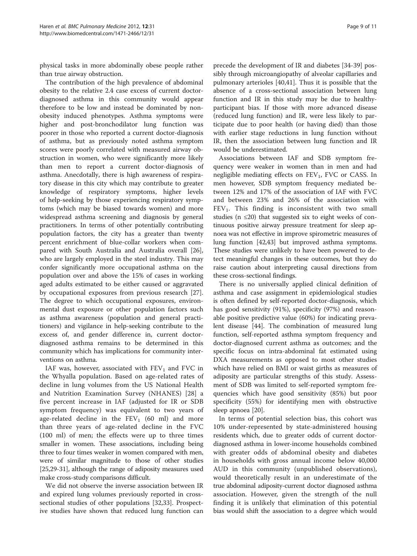physical tasks in more abdominally obese people rather than true airway obstruction.

The contribution of the high prevalence of abdominal obesity to the relative 2.4 case excess of current doctordiagnosed asthma in this community would appear therefore to be low and instead be dominated by nonobesity induced phenotypes. Asthma symptoms were higher and post-bronchodilator lung function was poorer in those who reported a current doctor-diagnosis of asthma, but as previously noted asthma symptom scores were poorly correlated with measured airway obstruction in women, who were significantly more likely than men to report a current doctor-diagnosis of asthma. Anecdotally, there is high awareness of respiratory disease in this city which may contribute to greater knowledge of respiratory symptoms, higher levels of help-seeking by those experiencing respiratory symptoms (which may be biased towards women) and more widespread asthma screening and diagnosis by general practitioners. In terms of other potentially contributing population factors, the city has a greater than twenty percent enrichment of blue-collar workers when compared with South Australia and Australia overall [\[26](#page-10-0)], who are largely employed in the steel industry. This may confer significantly more occupational asthma on the population over and above the 15% of cases in working aged adults estimated to be either caused or aggravated by occupational exposures from previous research [\[27](#page-10-0)]. The degree to which occupational exposures, environmental dust exposure or other population factors such as asthma awareness (population and general practitioners) and vigilance in help-seeking contribute to the excess of, and gender difference in, current doctordiagnosed asthma remains to be determined in this community which has implications for community interventions on asthma.

IAF was, however, associated with  $FEV<sub>1</sub>$  and FVC in the Whyalla population. Based on age-related rates of decline in lung volumes from the US National Health and Nutrition Examination Survey (NHANES) [[28\]](#page-10-0) a five percent increase in IAF (adjusted for IR or SDB symptom frequency) was equivalent to two years of age-related decline in the  $FEV_1$  (60 ml) and more than three years of age-related decline in the FVC (100 ml) of men; the effects were up to three times smaller in women. These associations, including being three to four times weaker in women compared with men, were of similar magnitude to those of other studies [[25,29](#page-10-0)-[31](#page-10-0)], although the range of adiposity measures used make cross-study comparisons difficult.

We did not observe the inverse association between IR and expired lung volumes previously reported in crosssectional studies of other populations [[32,33\]](#page-10-0). Prospective studies have shown that reduced lung function can

precede the development of IR and diabetes [\[34](#page-10-0)-[39\]](#page-10-0) possibly through microangiopathy of alveolar capillaries and pulmonary arterioles [[40,41\]](#page-10-0). Thus it is possible that the absence of a cross-sectional association between lung function and IR in this study may be due to healthyparticipant bias. If those with more advanced disease (reduced lung function) and IR, were less likely to participate due to poor health (or having died) than those with earlier stage reductions in lung function without IR, then the association between lung function and IR would be underestimated.

Associations between IAF and SDB symptom frequency were weaker in women than in men and had negligible mediating effects on  $FEV_1$ ,  $FVC$  or CASS. In men however, SDB symptom frequency mediated between 12% and 17% of the association of IAF with FVC and between 23% and 26% of the association with  $FEV<sub>1</sub>$ . This finding is inconsistent with two small studies ( $n \leq 20$ ) that suggested six to eight weeks of continuous positive airway pressure treatment for sleep apnoea was not effective in improve spirometric measures of lung function [[42,43\]](#page-10-0) but improved asthma symptoms. These studies were unlikely to have been powered to detect meaningful changes in these outcomes, but they do raise caution about interpreting causal directions from these cross-sectional findings.

There is no universally applied clinical definition of asthma and case assignment in epidemiological studies is often defined by self-reported doctor-diagnosis, which has good sensitivity (91%), specificity (97%) and reasonable positive predictive value (60%) for indicating prevalent disease [[44\]](#page-10-0). The combination of measured lung function, self-reported asthma symptom frequency and doctor-diagnosed current asthma as outcomes; and the specific focus on intra-abdominal fat estimated using DXA measurements as opposed to most other studies which have relied on BMI or waist girths as measures of adiposity are particular strengths of this study. Assessment of SDB was limited to self-reported symptom frequencies which have good sensitivity (85%) but poor specificity (55%) for identifying men with obstructive sleep apnoea [\[20\]](#page-10-0).

In terms of potential selection bias, this cohort was 10% under-represented by state-administered housing residents which, due to greater odds of current doctordiagnosed asthma in lower-income households combined with greater odds of abdominal obesity and diabetes in households with gross annual income below 40,000 AUD in this community (unpublished observations), would theoretically result in an underestimate of the true abdominal adiposity-current doctor diagnosed asthma association. However, given the strength of the null finding it is unlikely that elimination of this potential bias would shift the association to a degree which would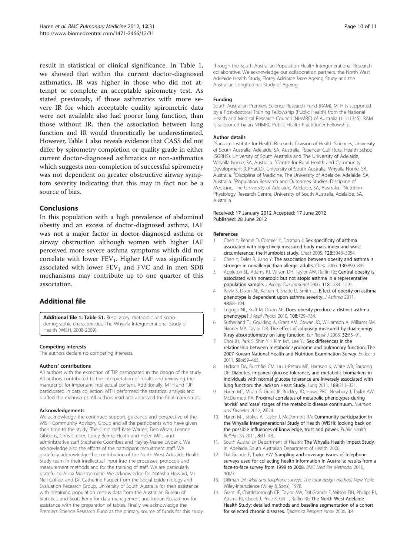<span id="page-9-0"></span>result in statistical or clinical significance. In Table [1](#page-5-0), we showed that within the current doctor-diagnosed asthmatics, IR was higher in those who did not attempt or complete an acceptable spirometry test. As stated previously, if those asthmatics with more severe IR for which acceptable quality spirometric data were not available also had poorer lung function, than those without IR, then the association between lung function and IR would theoretically be underestimated. However, Table [1](#page-5-0) also reveals evidence that CASS did not differ by spirometry completion or quality grade in either current doctor-diagnosed asthmatics or non-asthmatics which suggests non-completion of successful spirometry was not dependent on greater obstructive airway symptom severity indicating that this may in fact not be a source of bias.

#### Conclusions

In this population with a high prevalence of abdominal obesity and an excess of doctor-diagnosed asthma, IAF was not a major factor in doctor-diagnosed asthma or airway obstruction although women with higher IAF perceived more severe asthma symptoms which did not correlate with lower  $FEV_1$ . Higher IAF was significantly associated with lower  $FEV<sub>1</sub>$  and FVC and in men SDB mechanisms may contribute up to one quarter of this association.

# Additional file

[Additional file 1:](http://www.biomedcentral.com/content/supplementary/1471-2466-12-31-S1.doc) Table S1. Respiratory, metabolic and sociodemographic characteristics, The Whyalla Intergenerational Study of Health (WISH, 2008-2009).

#### Competing interests

The authors declare no competing interests.

#### Authors' contributions

All authors with the exception of TJP participated in the design of the study. All authors contributed to the interpretation of results and reviewing the manuscript for important intellectual content. Additionally, MTH and TJP participated in data collection. MTH performed the statistical analysis and drafted the manuscript. All authors read and approved the final manuscript.

#### Acknowledgements

We acknowledge the continued support, guidance and perspective of the WISH Community Advisory Group and all the participants who have given their time to the study. The clinic staff Kate Warren, Deb Misan, Leanne Gibbons, Chris Creber, Corey Beinke-Heath and Helen Mills, and administrative staff Stephanie Coombes and Hayley-Maree Ewbank. We acknowledge also the efforts of the participant recruitment staff. We gratefully acknowledge the contribution of the North West Adelaide Health Study team in their intellectual input into the processes, protocols and measurement methods and for the training of staff. We are particularly grateful to Alicia Montgomerie. We acknowledge Dr. Natasha Howard, Mr Neil Coffee, and Dr. Catherine Paquet from the Social Epidemiology and Evaluation Research Group, University of South Australia for their assistance with obtaining population census data from the Australian Bureau of Statistics, and Scott Berry for data management and Iordan Kostadinov for assistance with the preparation of tables. Finally we acknowledge the Premiers Science Research Fund as the primary source of funds for this study

through the South Australian Population Health Intergenerational Research collaborative. We acknowledge our collaboration partners, the North West Adelaide Health Study, Florey Adelaide Male Ageing Study and the Australian Longitudinal Study of Ageing.

#### Funding

South Australian Premiers Science Research Fund (RAM). MTH is supported by a Post-doctoral Training Fellowship (Public Health) from the National Health and Medical Research Council (NHMRC) of Australia (# 511345). RAM is supported by an NHMRC Public Health Practitioner Fellowship.

#### Author details

<sup>1</sup>Sansom Institute for Health Research, Division of Health Sciences, University of South Australia, Adelaide, SA, Australia. <sup>2</sup>Spencer Gulf Rural Health School (SGRHS), University of South Australia and The University of Adelaide, Whyalla Norrie, SA, Australia. <sup>3</sup> Centre for Rural Health and Community Development (CRHaCD), University of South Australia, Whyalla Norrie, SA, Australia. <sup>4</sup> Discipline of Medicine, The University of Adelaide, Adelaide, SA, Australia. <sup>5</sup>Population Research and Outcomes Studies, Discipline of Medicine, The University of Adelaide, Adelaide, SA, Australia. <sup>6</sup>Nutrition Physiology Research Centre, University of South Australia, Adelaide, SA, Australia.

Received: 17 January 2012 Accepted: 17 June 2012 Published: 28 June 2012

#### References

- 1. Chen Y, Rennie D, Cormier Y, Dosman J: Sex specificity of asthma associated with objectively measured body mass index and waist circumference: the Humboldt study. Chest 2005, 128:3048–3054.
- 2. Chen Y, Dales R, Jiang Y: The association between obesity and asthma is stronger in nonallergic than allergic adults. Chest 2006, 130:890–895.
- 3. Appleton SL, Adams RJ, Wilson DH, Taylor AW, Ruffin RE: Central obesity is associated with nonatopic but not atopic asthma in a representative population sample. J Allergy Clin Immunol 2006, 118:1284–1291.
- 4. Raviv S, Dixon AE, Kalhan R, Shade D, Smith LJ: Effect of obesity on asthma phenotype is dependent upon asthma severity. J Asthma 2011, 48:98–104.
- 5. Lugogo NL, Kraft M, Dixon AE: Does obesity produce a distinct asthma phenotype? J Appl Physiol 2010, 108:729–734.
- 6. Sutherland TJ, Goulding A, Grant AM, Cowan JO, Williamson A, Williams SM, Skinner MA, Taylor DR: The effect of adiposity measured by dual-energy X-ray absorptiometry on lung function. Eur Respir J 2008, 32:85–91.
- 7. Choi JH, Park S, Shin YH, Kim MY, Lee YJ: Sex differences in the relationship between metabolic syndrome and pulmonary function: The 2007 Korean National Health and Nutrition Examination Survey. Endocr J 2011, 58:459–465.
- Hickson DA, Burchfiel CM, Liu J, Petrini MF, Harrison K, White WB, Sarpong DF: Diabetes, impaired glucose tolerance, and metabolic biomarkers in individuals with normal glucose tolerance are inversely associated with lung function: the Jackson Heart Study. Lung 2011, 189:311–321.
- 9. Haren MT, Misan G, Grant JF, Buckley JD, Howe PRC, Newbury J, Taylor AW, McDermott RA: Proximal correlates of metabolic phenotypes during 'at-risk' and 'case' stages of the metabolic disease continuum. Nutrition and Diabetes 2012, 2:E24.
- 10. Haren MT, Stokes A, Taylor J, McDermott RA: Community participation in the Whyalla Intergenerational Study of Health (WISH): looking back on the possible influences of knowledge, trust and power. Public Health Bulletin SA 2011, 8:41–48.
- 11. South Australian Department of Health: The Whyalla Health Impact Study. In. Adelaide: South Australian Department of Health; 2006.
- 12. Dal Grande E, Taylor AW: Sampling and coverage issues of telephone surveys used for collecting health information in Australia: results from a face-to-face survey from 1999 to 2008. BMC Med Res Methodol 2010, 10:77.
- 13. Dillman DA: Mail and telephone surveys: The total design method. New York: Wiley-Interscience (Wiley & Sons); 1978.
- 14. Grant JF, Chittleborough CR, Taylor AW, Dal Grande E, Wilson DH, Phillips PJ, Adams RJ, Cheek J, Price K, Gill T, Ruffin RE: The North West Adelaide Health Study: detailed methods and baseline segmentation of a cohort for selected chronic diseases. Epidemiol Perspect Innov 2006, 3:4.